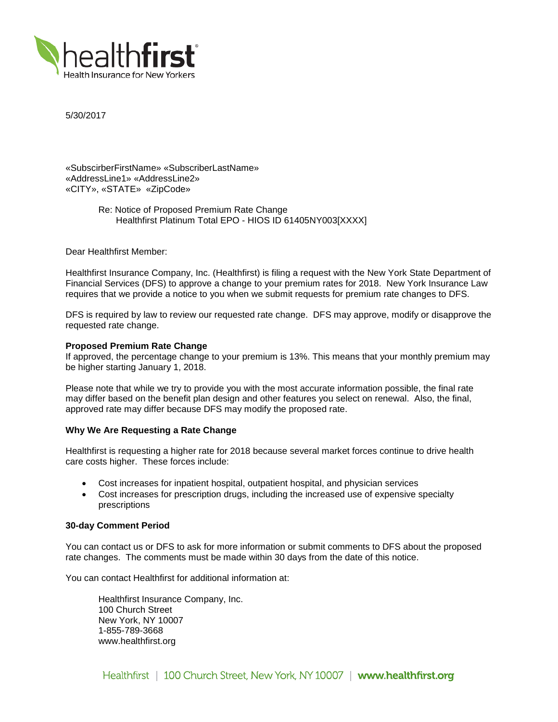

5/30/2017

«SubscirberFirstName» «SubscriberLastName» «AddressLine1» «AddressLine2» «CITY», «STATE» «ZipCode»

> Re: Notice of Proposed Premium Rate Change Healthfirst Platinum Total EPO - HIOS ID 61405NY003[XXXX]

Dear Healthfirst Member:

Healthfirst Insurance Company, Inc. (Healthfirst) is filing a request with the New York State Department of Financial Services (DFS) to approve a change to your premium rates for 2018. New York Insurance Law requires that we provide a notice to you when we submit requests for premium rate changes to DFS.

DFS is required by law to review our requested rate change. DFS may approve, modify or disapprove the requested rate change.

## **Proposed Premium Rate Change**

If approved, the percentage change to your premium is 13%. This means that your monthly premium may be higher starting January 1, 2018.

Please note that while we try to provide you with the most accurate information possible, the final rate may differ based on the benefit plan design and other features you select on renewal. Also, the final, approved rate may differ because DFS may modify the proposed rate.

### **Why We Are Requesting a Rate Change**

Healthfirst is requesting a higher rate for 2018 because several market forces continue to drive health care costs higher. These forces include:

- Cost increases for inpatient hospital, outpatient hospital, and physician services
- Cost increases for prescription drugs, including the increased use of expensive specialty prescriptions

### **30-day Comment Period**

You can contact us or DFS to ask for more information or submit comments to DFS about the proposed rate changes. The comments must be made within 30 days from the date of this notice.

You can contact Healthfirst for additional information at:

Healthfirst Insurance Company, Inc. 100 Church Street New York, NY 10007 1-855-789-3668 www.healthfirst.org